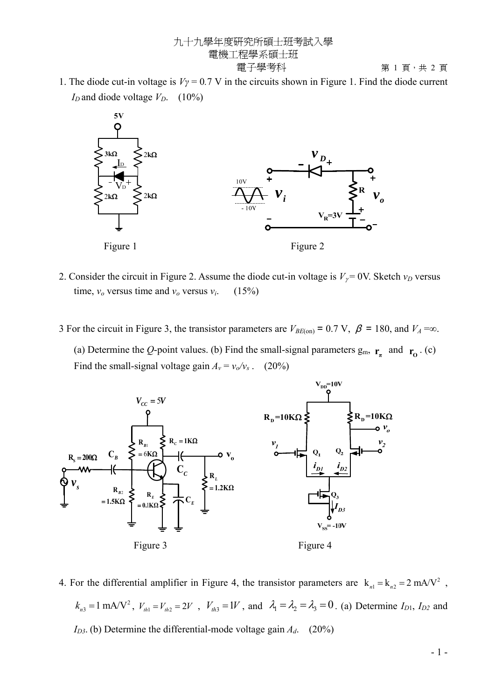九十九學年度研究所碩士班考試入學 電機工程學系碩士班

1. The diode cut-in voltage is  $V\gamma = 0.7$  V in the circuits shown in Figure 1. Find the diode current  $I_D$  and diode voltage  $V_D$ . (10%)



- 2. Consider the circuit in Figure 2. Assume the diode cut-in voltage is  $V<sub>\gamma</sub> = 0$ V. Sketch  $v<sub>D</sub>$  versus time,  $v_o$  versus time and  $v_o$  versus  $v_i$ . (15%)
- 3 For the circuit in Figure 3, the transistor parameters are  $V_{BE(on)} = 0.7$  V,  $\beta = 180$ , and  $V_A = \infty$ . (a) Determine the *Q*-point values. (b) Find the small-signal parameters  $g_m$ ,  $r_a$  and  $r_o$ . (c) Find the small-signal voltage gain  $A_v = v_o/v_s$ . (20%)



4. For the differential amplifier in Figure 4, the transistor parameters are  $k_{n1} = k_{n2} = 2 \text{ mA/V}^2$ ,  $k_{n3} = 1$  mA/V<sup>2</sup>,  $V_{th1} = V_{th2} = 2V$ ,  $V_{th3} = 1V$ , and  $\lambda_1 = \lambda_2 = \lambda_3 = 0$ . (a) Determine  $I_{D1}$ ,  $I_{D2}$  and  $I_{D3}$ . (b) Determine the differential-mode voltage gain  $A_d$ . (20%)

第 1 頁,共 2 頁